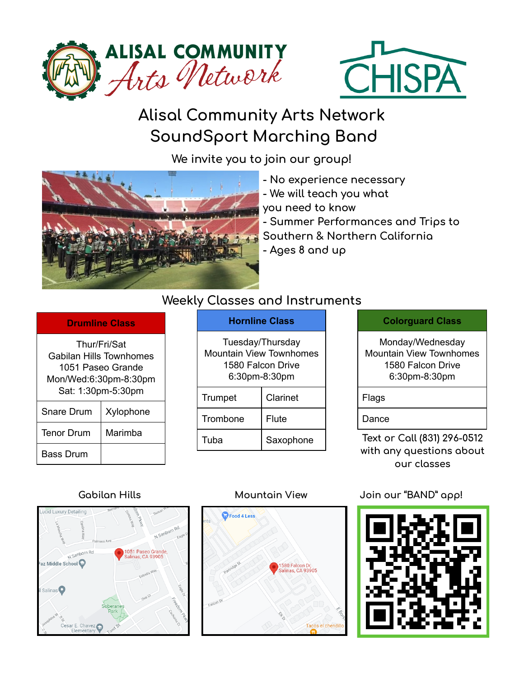



# **Alisal Community Arts Network SoundSport Marching Band**

**We invite you to join our group!**



- **- No experience necessary**
- **- We will teach you what**
- **you need to know**

**- Summer Performances and Trips to Southern & Northern California - Ages 8 and up**

## **Weekly Classes and Instruments**

#### **Drumline Class**

| Thur/Fri/Sat<br>Gabilan Hills Townhomes<br>1051 Paseo Grande<br>Mon/Wed:6:30pm-8:30pm<br>Sat: 1:30pm-5:30pm |           |  |  |  |  |  |
|-------------------------------------------------------------------------------------------------------------|-----------|--|--|--|--|--|
| <b>Snare Drum</b>                                                                                           | Xylophone |  |  |  |  |  |
| <b>Tenor Drum</b>                                                                                           | Marimba   |  |  |  |  |  |
| Bass Drum                                                                                                   |           |  |  |  |  |  |

### **Hornline Class**

| Tuesday/Thursday<br>Mountain View Townhomes<br>1580 Falcon Drive<br>6:30pm-8:30pm |              |  |  |  |  |  |
|-----------------------------------------------------------------------------------|--------------|--|--|--|--|--|
| Trumpet                                                                           | Clarinet     |  |  |  |  |  |
| Trombone                                                                          | <b>Flute</b> |  |  |  |  |  |
| Tuha                                                                              | Saxophone    |  |  |  |  |  |

### **Colorguard Class**

Monday/Wednesday Mountain View Townhomes 1580 Falcon Drive 6:30pm-8:30pm

Flags

Dance

**Text or Call (831) 296-0512 with any questions about our classes**